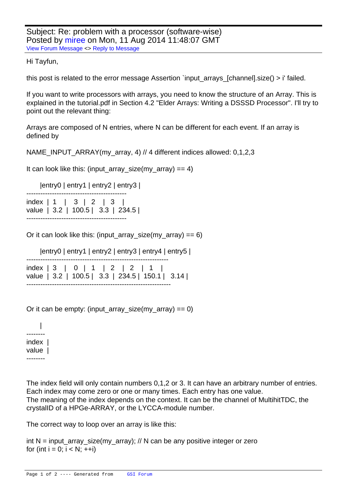## Hi Tayfun,

[this post is related](https://forum.gsi.de/index.php?t=rview&th=4383&goto=17154#msg_17154) to [the error messa](https://forum.gsi.de/index.php?t=post&reply_to=17154)ge Assertion `input\_arrays\_[channel].size() > i' failed.

If you want to write processors with arrays, you need to know the structure of an Array. This is explained in the tutorial.pdf in Section 4.2 "Elder Arrays: Writing a DSSSD Processor". I'll try to point out the relevant thing:

Arrays are composed of N entries, where N can be different for each event. If an array is defined by

NAME\_INPUT\_ARRAY(my\_array, 4) // 4 different indices allowed: 0,1,2,3

It can look like this: (input\_array\_size(my\_array) == 4)

|entry0 | entry1 | entry2 | entry3 |

|  | index   1   3   2   3             |  |
|--|-----------------------------------|--|
|  | value   3.2   100.5   3.3   234.5 |  |
|  |                                   |  |

Or it can look like this: (input array size(my array) == 6)

```
 |entry0 | entry1 | entry2 | entry3 | entry4 | entry5 |
-------------------------------------------------------------
index | 3 | 0 | 1 | 2 | 2 | 1 |
value | 3.2 | 100.5 | 3.3 | 234.5 | 150.1 | 3.14 |
--------------------------------------------------------------
```

| Or it can be empty: (input_array_size(my_array) == $0$ ) |  |  |
|----------------------------------------------------------|--|--|
|                                                          |  |  |

 | ------- index | value | --------

The index field will only contain numbers 0,1,2 or 3. It can have an arbitrary number of entries. Each index may come zero or one or many times. Each entry has one value. The meaning of the index depends on the context. It can be the channel of MultihitTDC, the crystalID of a HPGe-ARRAY, or the LYCCA-module number.

The correct way to loop over an array is like this:

```
int N = input_array_size(my_array); // N can be any positive integer or zero
for (int i = 0; i < N; ++i)
```